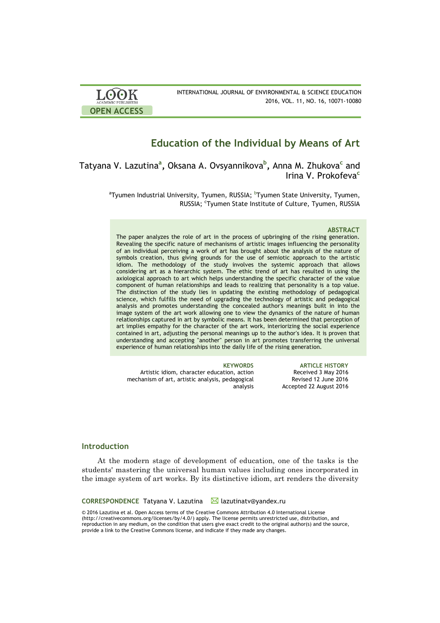

# **Education of the Individual by Means of Art**

Tatyana V. Lazutina**<sup>a</sup> ,** Oksana A. Ovsyannikova**<sup>b</sup> ,** Anna M. Zhukova**<sup>c</sup>** and Irina V. Prokofeva**<sup>c</sup>**

> $^{\rm a}$ Tyumen Industrial University, Tyumen, RUSSIA;  $^{\rm b}$ Tyumen State University, Tyumen, RUSSIA; <sup>c</sup>Tyumen State Institute of Culture, Tyumen, RUSSIA

### **ABSTRACT**

The paper analyzes the role of art in the process of upbringing of the rising generation. Revealing the specific nature of mechanisms of artistic images influencing the personality of an individual perceiving a work of art has brought about the analysis of the nature of symbols creation, thus giving grounds for the use of semiotic approach to the artistic idiom. The methodology of the study involves the systemic approach that allows considering art as a hierarchic system. The ethic trend of art has resulted in using the axiological approach to art which helps understanding the specific character of the value component of human relationships and leads to realizing that personality is a top value. The distinction of the study lies in updating the existing methodology of pedagogical science, which fulfills the need of upgrading the technology of artistic and pedagogical analysis and promotes understanding the concealed author's meanings built in into the image system of the art work allowing one to view the dynamics of the nature of human relationships captured in art by symbolic means. It has been determined that perception of art implies empathy for the character of the art work, interiorizing the social experience contained in art, adjusting the personal meanings up to the author's idea. It is proven that understanding and accepting "another" person in art promotes transferring the universal experience of human relationships into the daily life of the rising generation.

Artistic idiom, character education, action mechanism of art, artistic analysis, pedagogical analysis

**KEYWORDS ARTICLE HISTORY** Received 3 May 2016 Revised 12 June 2016 Accepted 22 August 2016

# **Introduction**

At the modern stage of development of education, one of the tasks is the students' mastering the universal human values including ones incorporated in the image system of art works. By its distinctive idiom, art renders the diversity

CORRESPONDENCE Tatyana V. Lazutina **M** lazutinatv@yandex.ru

© 2016 Lazutina et al. Open Access terms of the Creative Commons Attribution 4.0 International License (http://creativecommons.org/licenses/by/4.0/) apply. The license permits unrestricted use, distribution, and reproduction in any medium, on the condition that users give exact credit to the original author(s) and the source, provide a link to the Creative Commons license, and indicate if they made any changes.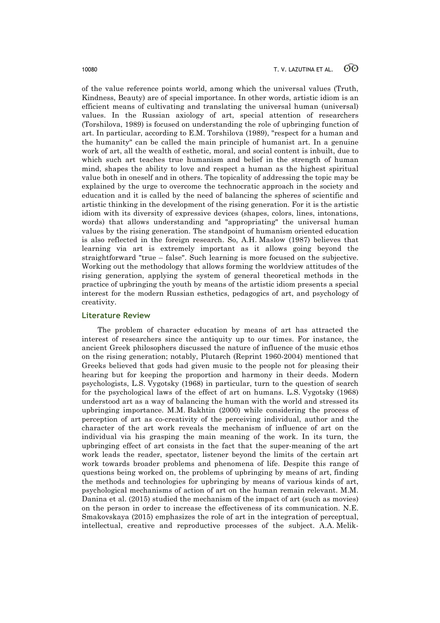of the value reference points world, among which the universal values (Truth, Kindness, Beauty) are of special importance. In other words, artistic idiom is an efficient means of cultivating and translating the universal human (universal) values. In the Russian axiology of art, special attention of researchers (Torshilova, 1989) is focused on understanding the role of upbringing function of art. In particular, according to E.M. Torshilova (1989), "respect for a human and the humanity" can be called the main principle of humanist art. In a genuine work of art, all the wealth of esthetic, moral, and social content is inbuilt, due to which such art teaches true humanism and belief in the strength of human mind, shapes the ability to love and respect a human as the highest spiritual value both in oneself and in others. The topicality of addressing the topic may be explained by the urge to overcome the technocratic approach in the society and education and it is called by the need of balancing the spheres of scientific and artistic thinking in the development of the rising generation. For it is the artistic idiom with its diversity of expressive devices (shapes, colors, lines, intonations, words) that allows understanding and "appropriating" the universal human values by the rising generation. The standpoint of humanism oriented education is also reflected in the foreign research. So, A.H. Маslow (1987) believes that learning via art is extremely important as it allows going beyond the straightforward "true – false". Such learning is more focused on the subjective. Working out the methodology that allows forming the worldview attitudes of the rising generation, applying the system of general theoretical methods in the practice of upbringing the youth by means of the artistic idiom presents a special interest for the modern Russian esthetics, pedagogics of art, and psychology of creativity.

# **Literature Review**

The problem of character education by means of art has attracted the interest of researchers since the antiquity up to our times. For instance, the ancient Greek philosophers discussed the nature of influence of the music ethos on the rising generation; notably, Plutarch (Reprint 1960-2004) mentioned that Greeks believed that gods had given music to the people not for pleasing their hearing but for keeping the proportion and harmony in their deeds. Modern psychologists, L.S. Vygotsky (1968) in particular, turn to the question of search for the psychological laws of the effect of art on humans. L.S. Vygotsky (1968) understood art as a way of balancing the human with the world and stressed its upbringing importance. M.M. Bakhtin (2000) while considering the process of perception of art as co-creativity of the perceiving individual, author and the character of the art work reveals the mechanism of influence of art on the individual via his grasping the main meaning of the work. In its turn, the upbringing effect of art consists in the fact that the super-meaning of the art work leads the reader, spectator, listener beyond the limits of the certain art work towards broader problems and phenomena of life. Despite this range of questions being worked on, the problems of upbringing by means of art, finding the methods and technologies for upbringing by means of various kinds of art, psychological mechanisms of action of art on the human remain relevant. M.M. Danina et al. (2015) studied the mechanism of the impact of art (such as movies) on the person in order to increase the effectiveness of its communication. N.E. Smakovskaya (2015) emphasizes the role of art in the integration of perceptual, intellectual, creative and reproductive processes of the subject. A.A. Melik-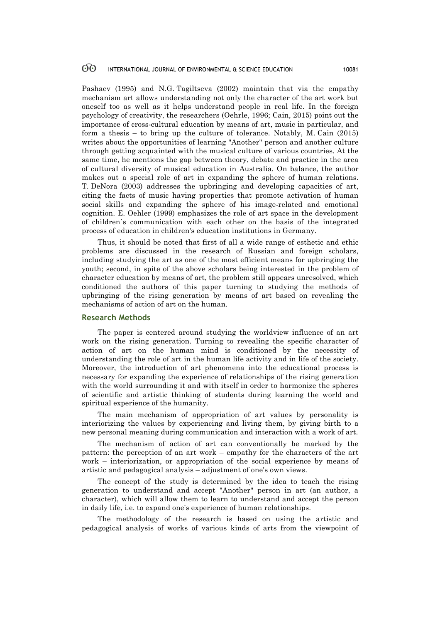Pashaev (1995) and N.G. Tagiltseva (2002) maintain that via the empathy mechanism art allows understanding not only the character of the art work but oneself too as well as it helps understand people in real life. In the foreign psychology of creativity, the researchers (Oehrle, 1996; Cain, 2015) point out the importance of cross-cultural education by means of art, music in particular, and form a thesis – to bring up the culture of tolerance. Notably, M. Cain (2015) writes about the opportunities of learning "Another" person and another culture through getting acquainted with the musical culture of various countries. At the same time, he mentions the gap between theory, debate and practice in the area of cultural diversity of musical education in Australia. On balance, the author makes out a special role of art in expanding the sphere of human relations. T. DeNora (2003) addresses the upbringing and developing capacities of art, citing the facts of music having properties that promote activation of human social skills and expanding the sphere of his image-related and emotional cognition. E. Oehler (1999) emphasizes the role of art space in the development of children`s communication with each other on the basis of the integrated process of education in children's education institutions in Germany.

Thus, it should be noted that first of all a wide range of esthetic and ethic problems are discussed in the research of Russian and foreign scholars, including studying the art as one of the most efficient means for upbringing the youth; second, in spite of the above scholars being interested in the problem of character education by means of art, the problem still appears unresolved, which conditioned the authors of this paper turning to studying the methods of upbringing of the rising generation by means of art based on revealing the mechanisms of action of art on the human.

## **Research Methods**

The paper is centered around studying the worldview influence of an art work on the rising generation. Turning to revealing the specific character of action of art on the human mind is conditioned by the necessity of understanding the role of art in the human life activity and in life of the society. Moreover, the introduction of art phenomena into the educational process is necessary for expanding the experience of relationships of the rising generation with the world surrounding it and with itself in order to harmonize the spheres of scientific and artistic thinking of students during learning the world and spiritual experience of the humanity.

The main mechanism of appropriation of art values by personality is interiorizing the values by experiencing and living them, by giving birth to a new personal meaning during communication and interaction with a work of art.

The mechanism of action of art can conventionally be marked by the pattern: the perception of an art work – empathy for the characters of the art work – interiorization, or appropriation of the social experience by means of artistic and pedagogical analysis – adjustment of one's own views.

The concept of the study is determined by the idea to teach the rising generation to understand and accept "Another" person in art (an author, a character), which will allow them to learn to understand and accept the person in daily life, i.e. to expand one's experience of human relationships.

The methodology of the research is based on using the artistic and pedagogical analysis of works of various kinds of arts from the viewpoint of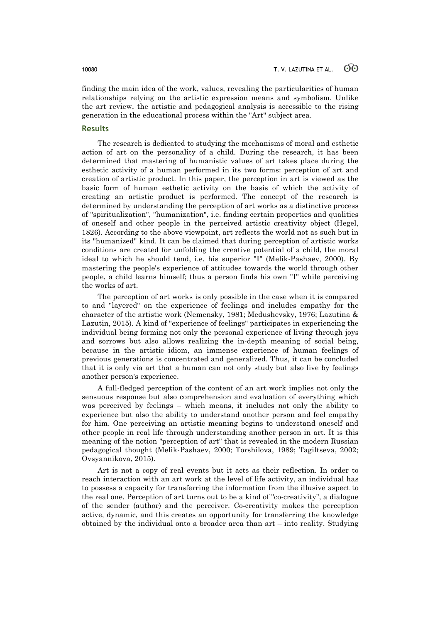finding the main idea of the work, values, revealing the particularities of human relationships relying on the artistic expression means and symbolism. Unlike the art review, the artistic and pedagogical analysis is accessible to the rising generation in the educational process within the "Art" subject area.

# **Results**

The research is dedicated to studying the mechanisms of moral and esthetic action of art on the personality of a child. During the research, it has been determined that mastering of humanistic values of art takes place during the esthetic activity of a human performed in its two forms: perception of art and creation of artistic product. In this paper, the perception in art is viewed as the basic form of human esthetic activity on the basis of which the activity of creating an artistic product is performed. The concept of the research is determined by understanding the perception of art works as a distinctive process of "spiritualization", "humanization", i.e. finding certain properties and qualities of oneself and other people in the perceived artistic creativity object (Hegel, 1826). According to the above viewpoint, art reflects the world not as such but in its "humanized" kind. It can be claimed that during perception of artistic works conditions are created for unfolding the creative potential of a child, the moral ideal to which he should tend, i.e. his superior "I" (Melik-Pashaev, 2000). By mastering the people's experience of attitudes towards the world through other people, a child learns himself; thus a person finds his own "I" while perceiving the works of art.

The perception of art works is only possible in the case when it is compared to and "layered" on the experience of feelings and includes empathy for the character of the artistic work (Nemensky, 1981; Medushevsky, 1976; Lazutina & Lazutin, 2015). A kind of "experience of feelings" participates in experiencing the individual being forming not only the personal experience of living through joys and sorrows but also allows realizing the in-depth meaning of social being, because in the artistic idiom, an immense experience of human feelings of previous generations is concentrated and generalized. Thus, it can be concluded that it is only via art that a human can not only study but also live by feelings another person's experience.

A full-fledged perception of the content of an art work implies not only the sensuous response but also comprehension and evaluation of everything which was perceived by feelings – which means, it includes not only the ability to experience but also the ability to understand another person and feel empathy for him. One perceiving an artistic meaning begins to understand oneself and other people in real life through understanding another person in art. It is this meaning of the notion "perception of art" that is revealed in the modern Russian pedagogical thought (Melik-Pashaev, 2000; Torshilova, 1989; Tagiltseva, 2002; Ovsyannikova, 2015).

Art is not a copy of real events but it acts as their reflection. In order to reach interaction with an art work at the level of life activity, an individual has to possess a capacity for transferring the information from the illusive aspect to the real one. Perception of art turns out to be a kind of "co-creativity", a dialogue of the sender (author) and the perceiver. Co-creativity makes the perception active, dynamic, and this creates an opportunity for transferring the knowledge obtained by the individual onto a broader area than art – into reality. Studying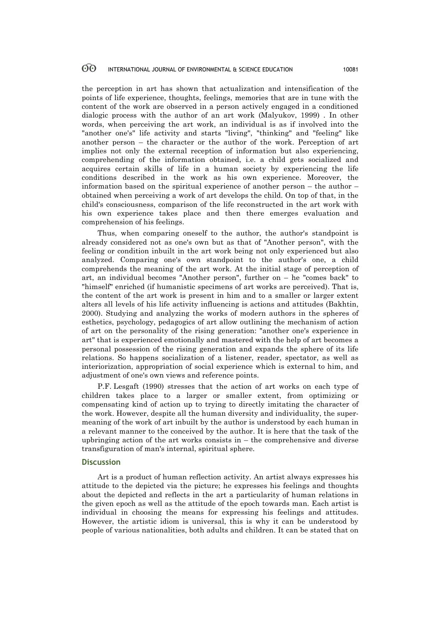the perception in art has shown that actualization and intensification of the points of life experience, thoughts, feelings, memories that are in tune with the content of the work are observed in a person actively engaged in a conditioned dialogic process with the author of an art work (Malyukov, 1999) . In other words, when perceiving the art work, an individual is as if involved into the "another one's" life activity and starts "living", "thinking" and "feeling" like another person – the character or the author of the work. Perception of art implies not only the external reception of information but also experiencing, comprehending of the information obtained, i.e. a child gets socialized and acquires certain skills of life in a human society by experiencing the life conditions described in the work as his own experience. Moreover, the information based on the spiritual experience of another person – the author – obtained when perceiving a work of art develops the child. On top of that, in the child's consciousness, comparison of the life reconstructed in the art work with his own experience takes place and then there emerges evaluation and comprehension of his feelings.

Thus, when comparing oneself to the author, the author's standpoint is already considered not as one's own but as that of "Another person", with the feeling or condition inbuilt in the art work being not only experienced but also analyzed. Comparing one's own standpoint to the author's one, a child comprehends the meaning of the art work. At the initial stage of perception of art, an individual becomes "Another person", further on – he "comes back" to "himself" enriched (if humanistic specimens of art works are perceived). That is, the content of the art work is present in him and to a smaller or larger extent alters all levels of his life activity influencing is actions and attitudes (Bakhtin, 2000). Studying and analyzing the works of modern authors in the spheres of esthetics, psychology, pedagogics of art allow outlining the mechanism of action of art on the personality of the rising generation: "another one's experience in art" that is experienced emotionally and mastered with the help of art becomes a personal possession of the rising generation and expands the sphere of its life relations. So happens socialization of a listener, reader, spectator, as well as interiorization, appropriation of social experience which is external to him, and adjustment of one's own views and reference points.

P.F. Lesgaft (1990) stresses that the action of art works on each type of children takes place to a larger or smaller extent, from optimizing or compensating kind of action up to trying to directly imitating the character of the work. However, despite all the human diversity and individuality, the supermeaning of the work of art inbuilt by the author is understood by each human in a relevant manner to the conceived by the author. It is here that the task of the upbringing action of the art works consists in – the comprehensive and diverse transfiguration of man's internal, spiritual sphere.

### **Discussion**

Art is a product of human reflection activity. An artist always expresses his attitude to the depicted via the picture; he expresses his feelings and thoughts about the depicted and reflects in the art a particularity of human relations in the given epoch as well as the attitude of the epoch towards man. Each artist is individual in choosing the means for expressing his feelings and attitudes. However, the artistic idiom is universal, this is why it can be understood by people of various nationalities, both adults and children. It can be stated that on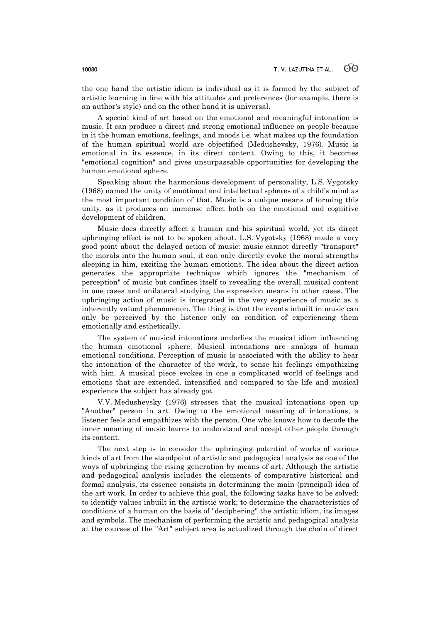the one hand the artistic idiom is individual as it is formed by the subject of artistic learning in line with his attitudes and preferences (for example, there is an author's style) and on the other hand it is universal.

A special kind of art based on the emotional and meaningful intonation is music. It can produce a direct and strong emotional influence on people because in it the human emotions, feelings, and moods i.e. what makes up the foundation of the human spiritual world are objectified (Medushevsky, 1976). Music is emotional in its essence, in its direct content. Owing to this, it becomes "emotional cognition" and gives unsurpassable opportunities for developing the human emotional sphere.

Speaking about the harmonious development of personality, L.S. Vygotsky (1968) named the unity of emotional and intellectual spheres of a child's mind as the most important condition of that. Music is a unique means of forming this unity, as it produces an immense effect both on the emotional and cognitive development of children.

Music does directly affect a human and his spiritual world, yet its direct upbringing effect is not to be spoken about. L.S. Vygotsky (1968) made a very good point about the delayed action of music: music cannot directly "transport" the morals into the human soul, it can only directly evoke the moral strengths sleeping in him, exciting the human emotions. The idea about the direct action generates the appropriate technique which ignores the "mechanism of perception" of music but confines itself to revealing the overall musical content in one cases and unilateral studying the expression means in other cases. The upbringing action of music is integrated in the very experience of music as a inherently valued phenomenon. The thing is that the events inbuilt in music can only be perceived by the listener only on condition of experiencing them emotionally and esthetically.

The system of musical intonations underlies the musical idiom influencing the human emotional sphere. Musical intonations are analogs of human emotional conditions. Perception of music is associated with the ability to hear the intonation of the character of the work, to sense his feelings empathizing with him. A musical piece evokes in one a complicated world of feelings and emotions that are extended, intensified and compared to the life and musical experience the subject has already got.

V.V. Medushevsky (1976) stresses that the musical intonations open up "Another" person in art. Owing to the emotional meaning of intonations, a listener feels and empathizes with the person. One who knows how to decode the inner meaning of music learns to understand and accept other people through its content.

The next step is to consider the upbringing potential of works of various kinds of art from the standpoint of artistic and pedagogical analysis as one of the ways of upbringing the rising generation by means of art. Although the artistic and pedagogical analysis includes the elements of comparative historical and formal analysis, its essence consists in determining the main (principal) idea of the art work. In order to achieve this goal, the following tasks have to be solved: to identify values inbuilt in the artistic work; to determine the characteristics of conditions of a human on the basis of "deciphering" the artistic idiom, its images and symbols. The mechanism of performing the artistic and pedagogical analysis at the courses of the "Art" subject area is actualized through the chain of direct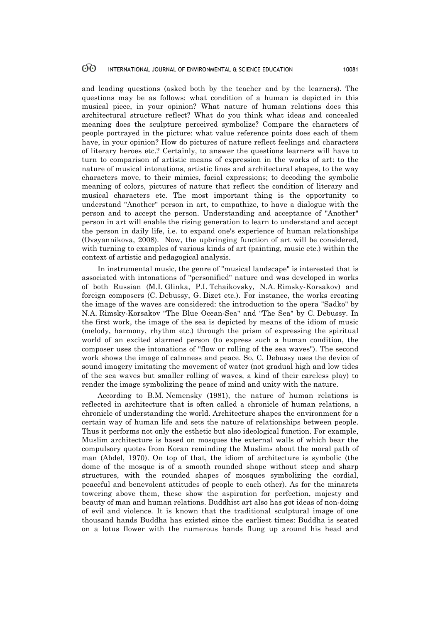and leading questions (asked both by the teacher and by the learners). The questions may be as follows: what condition of a human is depicted in this musical piece, in your opinion? What nature of human relations does this architectural structure reflect? What do you think what ideas and concealed meaning does the sculpture perceived symbolize? Compare the characters of people portrayed in the picture: what value reference points does each of them have, in your opinion? How do pictures of nature reflect feelings and characters of literary heroes etc.? Certainly, to answer the questions learners will have to turn to comparison of artistic means of expression in the works of art: to the nature of musical intonations, artistic lines and architectural shapes, to the way characters move, to their mimics, facial expressions; to decoding the symbolic meaning of colors, pictures of nature that reflect the condition of literary and musical characters etc. The most important thing is the opportunity to understand "Another" person in art, to empathize, to have a dialogue with the person and to accept the person. Understanding and acceptance of "Another" person in art will enable the rising generation to learn to understand and accept the person in daily life, i.e. to expand one's experience of human relationships (Ovsyannikova, 2008). Now, the upbringing function of art will be considered, with turning to examples of various kinds of art (painting, music etc.) within the context of artistic and pedagogical analysis.

In instrumental music, the genre of "musical landscape" is interested that is associated with intonations of "personified" nature and was developed in works of both Russian (M.I. Glinka, P.I. Tchaikovsky, N.A. Rimsky-Korsakov) and foreign composers (C. Debussy, G. Bizet etc.). For instance, the works creating the image of the waves are considered: the introduction to the opera "Sadko" by N.A. Rimsky-Korsakov "The Blue Ocean-Sea" and "The Sea" by C. Debussy. In the first work, the image of the sea is depicted by means of the idiom of music (melody, harmony, rhythm etc.) through the prism of expressing the spiritual world of an excited alarmed person (to express such a human condition, the composer uses the intonations of "flow or rolling of the sea waves"). The second work shows the image of calmness and peace. So, C. Debussy uses the device of sound imagery imitating the movement of water (not gradual high and low tides of the sea waves but smaller rolling of waves, a kind of their careless play) to render the image symbolizing the peace of mind and unity with the nature.

According to B.M. Nemensky (1981), the nature of human relations is reflected in architecture that is often called a chronicle of human relations, a chronicle of understanding the world. Architecture shapes the environment for a certain way of human life and sets the nature of relationships between people. Thus it performs not only the esthetic but also ideological function. For example, Muslim architecture is based on mosques the external walls of which bear the compulsory quotes from Koran reminding the Muslims about the moral path of man (Abdel, 1970). On top of that, the idiom of architecture is symbolic (the dome of the mosque is of a smooth rounded shape without steep and sharp structures, with the rounded shapes of mosques symbolizing the cordial, peaceful and benevolent attitudes of people to each other). As for the minarets towering above them, these show the aspiration for perfection, majesty and beauty of man and human relations. Buddhist art also has got ideas of non-doing of evil and violence. It is known that the traditional sculptural image of one thousand hands Buddha has existed since the earliest times: Buddha is seated on a lotus flower with the numerous hands flung up around his head and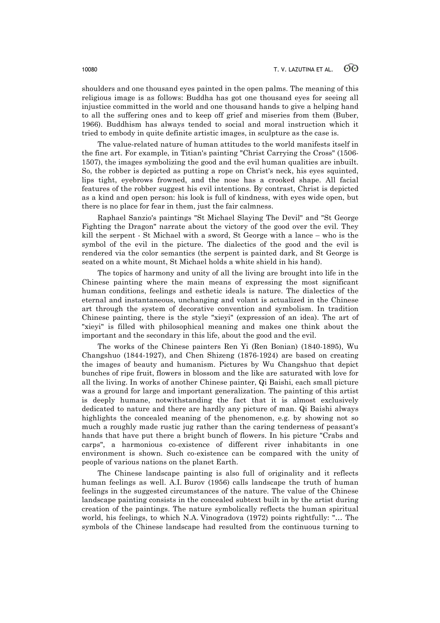shoulders and one thousand eyes painted in the open palms. The meaning of this religious image is as follows: Buddha has got one thousand eyes for seeing all injustice committed in the world and one thousand hands to give a helping hand to all the suffering ones and to keep off grief and miseries from them (Buber, 1966). Buddhism has always tended to social and moral instruction which it tried to embody in quite definite artistic images, in sculpture as the case is.

The value-related nature of human attitudes to the world manifests itself in the fine art. For example, in Titian's painting "Christ Carrying the Cross" (1506- 1507), the images symbolizing the good and the evil human qualities are inbuilt. So, the robber is depicted as putting a rope on Christ's neck, his eyes squinted, lips tight, eyebrows frowned, and the nose has a crooked shape. All facial features of the robber suggest his evil intentions. By contrast, Christ is depicted as a kind and open person: his look is full of kindness, with eyes wide open, but there is no place for fear in them, just the fair calmness.

Raphael Sanzio's paintings "St Michael Slaying The Devil" and "St George Fighting the Dragon" narrate about the victory of the good over the evil. They kill the serpent - St Michael with a sword, St George with a lance – who is the symbol of the evil in the picture. The dialectics of the good and the evil is rendered via the color semantics (the serpent is painted dark, and St George is seated on a white mount, St Michael holds a white shield in his hand).

The topics of harmony and unity of all the living are brought into life in the Chinese painting where the main means of expressing the most significant human conditions, feelings and esthetic ideals is nature. The dialectics of the eternal and instantaneous, unchanging and volant is actualized in the Chinese art through the system of decorative convention and symbolism. In tradition Chinese painting, there is the style "xieyi" (expression of an idea). The art of "xieyi" is filled with philosophical meaning and makes one think about the important and the secondary in this life, about the good and the evil.

The works of the Chinese painters Ren Yi (Ren Bonian) (1840-1895), Wu Changshuo (1844-1927), and Chen Shizeng (1876-1924) are based on creating the images of beauty and humanism. Pictures by Wu Changshuo that depict bunches of ripe fruit, flowers in blossom and the like are saturated with love for all the living. In works of another Chinese painter, Qi Baishi, each small picture was a ground for large and important generalization. The painting of this artist is deeply humane, notwithstanding the fact that it is almost exclusively dedicated to nature and there are hardly any picture of man. Qi Baishi always highlights the concealed meaning of the phenomenon, e.g. by showing not so much a roughly made rustic jug rather than the caring tenderness of peasant's hands that have put there a bright bunch of flowers. In his picture "Crabs and carps", a harmonious co-existence of different river inhabitants in one environment is shown. Such co-existence can be compared with the unity of people of various nations on the planet Earth.

The Chinese landscape painting is also full of originality and it reflects human feelings as well. A.I. Burov (1956) calls landscape the truth of human feelings in the suggested circumstances of the nature. The value of the Chinese landscape painting consists in the concealed subtext built in by the artist during creation of the paintings. The nature symbolically reflects the human spiritual world, his feelings, to which N.A. Vinogradova (1972) points rightfully: "… The symbols of the Chinese landscape had resulted from the continuous turning to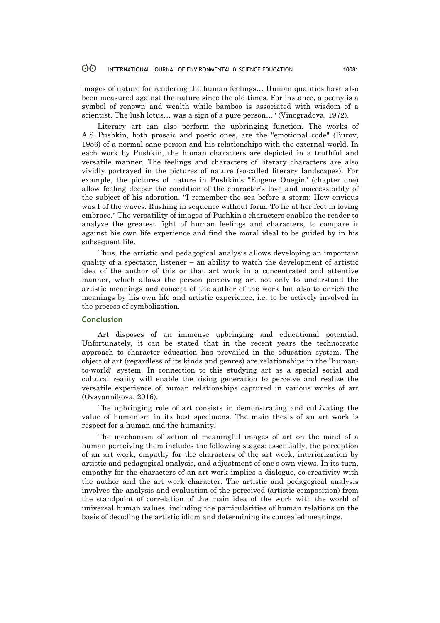images of nature for rendering the human feelings… Human qualities have also been measured against the nature since the old times. For instance, a peony is a symbol of renown and wealth while bamboo is associated with wisdom of a scientist. The lush lotus… was a sign of a pure person…" (Vinogradova, 1972).

Literary art can also perform the upbringing function. The works of A.S. Pushkin, both prosaic and poetic ones, are the "emotional code" (Burov, 1956) of a normal sane person and his relationships with the external world. In each work by Pushkin, the human characters are depicted in a truthful and versatile manner. The feelings and characters of literary characters are also vividly portrayed in the pictures of nature (so-called literary landscapes). For example, the pictures of nature in Pushkin's "Eugene Onegin" (chapter one) allow feeling deeper the condition of the character's love and inaccessibility of the subject of his adoration. "I remember the sea before a storm: How envious was I of the waves. Rushing in sequence without form. To lie at her feet in loving embrace." The versatility of images of Pushkin's characters enables the reader to analyze the greatest fight of human feelings and characters, to compare it against his own life experience and find the moral ideal to be guided by in his subsequent life.

Thus, the artistic and pedagogical analysis allows developing an important quality of a spectator, listener – an ability to watch the development of artistic idea of the author of this or that art work in a concentrated and attentive manner, which allows the person perceiving art not only to understand the artistic meanings and concept of the author of the work but also to enrich the meanings by his own life and artistic experience, i.e. to be actively involved in the process of symbolization.

# **Conclusion**

Art disposes of an immense upbringing and educational potential. Unfortunately, it can be stated that in the recent years the technocratic approach to character education has prevailed in the education system. The object of art (regardless of its kinds and genres) are relationships in the "humanto-world" system. In connection to this studying art as a special social and cultural reality will enable the rising generation to perceive and realize the versatile experience of human relationships captured in various works of art (Ovsyannikova, 2016).

The upbringing role of art consists in demonstrating and cultivating the value of humanism in its best specimens. The main thesis of an art work is respect for a human and the humanity.

The mechanism of action of meaningful images of art on the mind of a human perceiving them includes the following stages: essentially, the perception of an art work, empathy for the characters of the art work, interiorization by artistic and pedagogical analysis, and adjustment of one's own views. In its turn, empathy for the characters of an art work implies a dialogue, co-creativity with the author and the art work character. The artistic and pedagogical analysis involves the analysis and evaluation of the perceived (artistic composition) from the standpoint of correlation of the main idea of the work with the world of universal human values, including the particularities of human relations on the basis of decoding the artistic idiom and determining its concealed meanings.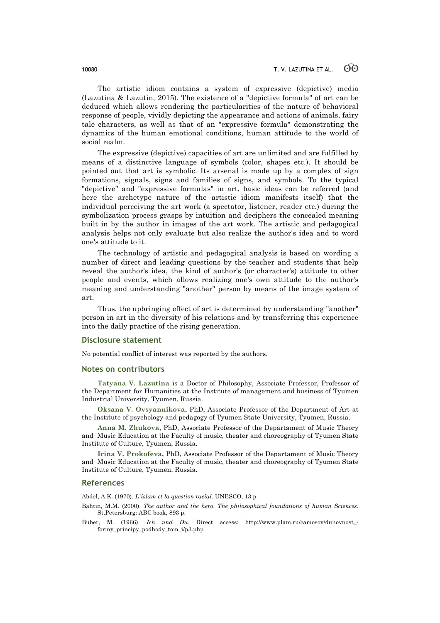The artistic idiom contains a system of expressive (depictive) media (Lazutina & Lazutin, 2015). The existence of a "depictive formula" of art can be deduced which allows rendering the particularities of the nature of behavioral response of people, vividly depicting the appearance and actions of animals, fairy tale characters, as well as that of an "expressive formula" demonstrating the dynamics of the human emotional conditions, human attitude to the world of social realm.

The expressive (depictive) capacities of art are unlimited and are fulfilled by means of a distinctive language of symbols (color, shapes etc.). It should be pointed out that art is symbolic. Its arsenal is made up by a complex of sign formations, signals, signs and families of signs, and symbols. To the typical "depictive" and "expressive formulas" in art, basic ideas can be referred (and here the archetype nature of the artistic idiom manifests itself) that the individual perceiving the art work (a spectator, listener, reader etc.) during the symbolization process grasps by intuition and deciphers the concealed meaning built in by the author in images of the art work. The artistic and pedagogical analysis helps not only evaluate but also realize the author's idea and to word one's attitude to it.

The technology of artistic and pedagogical analysis is based on wording a number of direct and leading questions by the teacher and students that help reveal the author's idea, the kind of author's (or character's) attitude to other people and events, which allows realizing one's own attitude to the author's meaning and understanding "another" person by means of the image system of art.

Thus, the upbringing effect of art is determined by understanding "another" person in art in the diversity of his relations and by transferring this experience into the daily practice of the rising generation.

### **Disclosure statement**

No potential conflict of interest was reported by the authors.

### **Notes on contributors**

**Tatyana V. Lazutina** is a Doctor of Philosophy, Associate Professor, Professor of the Department for Humanities at the Institute of management and business of Tyumen Industrial University, Tyumen, Russia.

**Oksana V. Ovsyannikova,** PhD, Associate Professor of the Department of Art at the Institute of psychology and pedagogy of Tyumen State University, Tyumen, Russia.

**Anna M. Zhukova,** PhD, Associate Professor of the Departament of Music Theory and Music Education at the Faculty of music, theater and choreography of Tyumen State Institute of Culture, Tyumen, Russia.

**Irina V. Prokofeva,** PhD, Associate Professor of the Departament of Music Theory and Music Education at the Faculty of music, theater and choreography of Tyumen State Institute of Culture, Tyumen, Russia.

### **References**

Abdel, A.K. (1970). *L`islam et la question racial.* UNESCO, 13 p.

- Bahtin, M.M. (2000). *The author and the hero. The philosophical foundations of human Sciences*. St.Petersburg: ABC book, 893 p.
- Buber, M. (1966). *Ich und Du.* Direct access: http://www.plam.ru/camosov/duhovnost\_ formy\_principy\_podhody\_tom\_i/p3.php